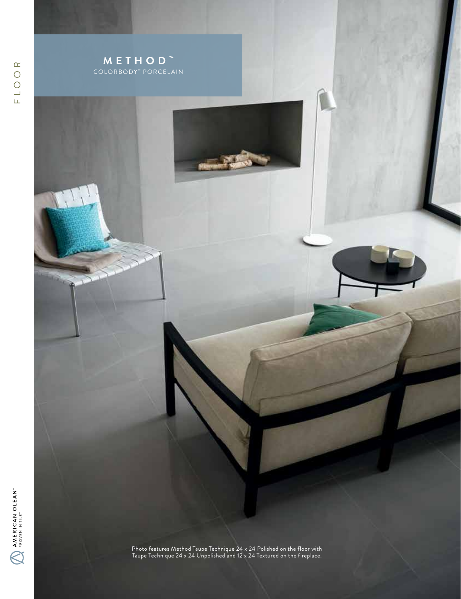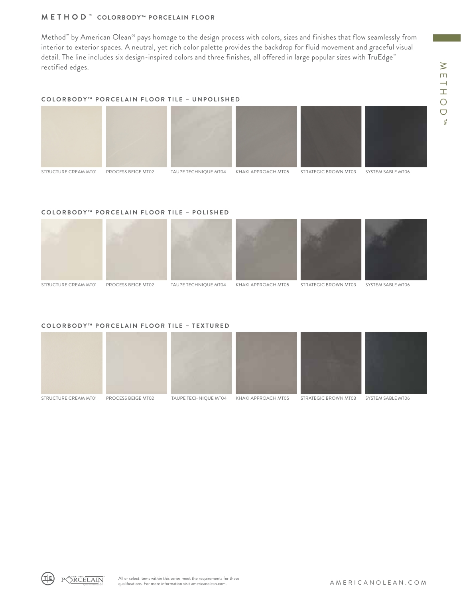# **METHOD ™ COLORBODY™ PORCELAIN FLOOR**

Method™ by American Olean® pays homage to the design process with colors, sizes and finishes that flow seamlessly from interior to exterior spaces. A neutral, yet rich color palette provides the backdrop for fluid movement and graceful visual detail. The line includes six design-inspired colors and three finishes, all offered in large popular sizes with TruEdge™ rectified edges.

## **COLORBODY™ PORCELAIN FLOOR TILE – UNPOLISHED**



## **COLORBODY™ PORCELAIN FLOOR TILE – POLISHED**



## **COLORBODY™ PORCELAIN FLOOR TILE – TEXTURED**



RCELAIN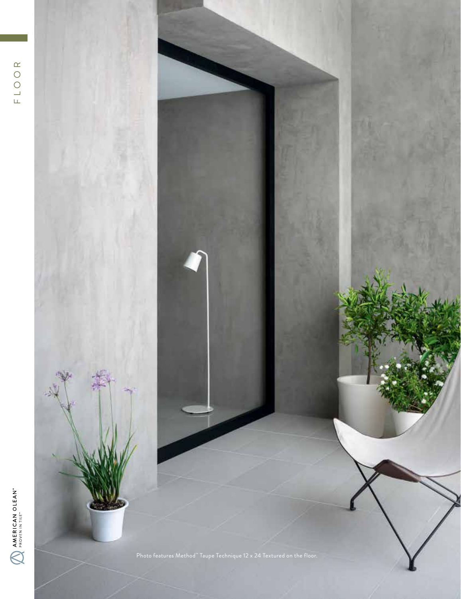